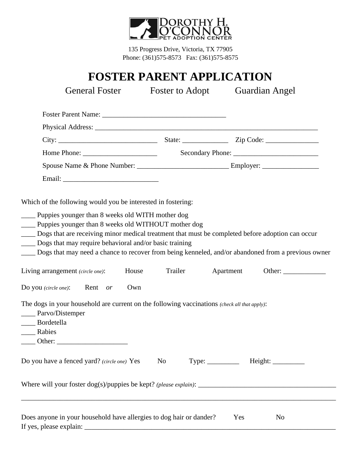

135 Progress Drive, Victoria, TX 77905 Phone: (361)575-8573 Fax: (361)575-8575

# **FOSTER PARENT APPLICATION**

| <b>General Foster</b>                                                                            | Foster to Adopt | Guardian Angel                                                                                     |
|--------------------------------------------------------------------------------------------------|-----------------|----------------------------------------------------------------------------------------------------|
|                                                                                                  |                 |                                                                                                    |
|                                                                                                  |                 |                                                                                                    |
|                                                                                                  |                 |                                                                                                    |
|                                                                                                  |                 |                                                                                                    |
|                                                                                                  |                 |                                                                                                    |
|                                                                                                  |                 |                                                                                                    |
|                                                                                                  |                 |                                                                                                    |
| Which of the following would you be interested in fostering:                                     |                 |                                                                                                    |
| ___ Puppies younger than 8 weeks old WITH mother dog                                             |                 |                                                                                                    |
| _____ Puppies younger than 8 weeks old WITHOUT mother dog                                        |                 |                                                                                                    |
| Dogs that are receiving minor medical treatment that must be completed before adoption can occur |                 |                                                                                                    |
| Dogs that may require behavioral and/or basic training                                           |                 |                                                                                                    |
|                                                                                                  |                 | Dogs that may need a chance to recover from being kenneled, and/or abandoned from a previous owner |
| Living arrangement (circle one):<br>House                                                        | Trailer         | Apartment Other:                                                                                   |
| Do you (circle one): Rent or<br>Own                                                              |                 |                                                                                                    |
| The dogs in your household are current on the following vaccinations (check all that apply):     |                 |                                                                                                    |
| _____ Parvo/Distemper                                                                            |                 |                                                                                                    |
| Bordetella                                                                                       |                 |                                                                                                    |
| Rabies                                                                                           |                 |                                                                                                    |
| Other:                                                                                           |                 |                                                                                                    |
| Do you have a fenced yard? (circle one) Yes                                                      | No              | Type: ____________ Height: _________                                                               |
|                                                                                                  |                 |                                                                                                    |
|                                                                                                  |                 |                                                                                                    |
|                                                                                                  |                 |                                                                                                    |
| Does anyone in your household have allergies to dog hair or dander?                              |                 | Yes<br>N <sub>0</sub>                                                                              |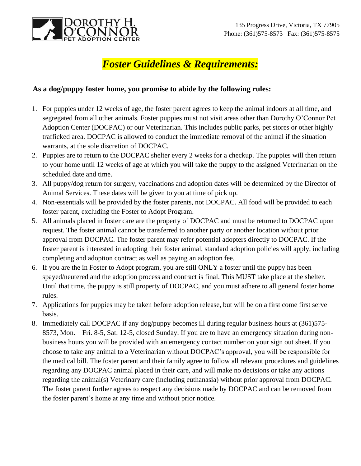

## *Foster Guidelines & Requirements:*

### **As a dog/puppy foster home, you promise to abide by the following rules:**

- 1. For puppies under 12 weeks of age, the foster parent agrees to keep the animal indoors at all time, and segregated from all other animals. Foster puppies must not visit areas other than Dorothy O'Connor Pet Adoption Center (DOCPAC) or our Veterinarian. This includes public parks, pet stores or other highly trafficked area. DOCPAC is allowed to conduct the immediate removal of the animal if the situation warrants, at the sole discretion of DOCPAC.
- 2. Puppies are to return to the DOCPAC shelter every 2 weeks for a checkup. The puppies will then return to your home until 12 weeks of age at which you will take the puppy to the assigned Veterinarian on the scheduled date and time.
- 3. All puppy/dog return for surgery, vaccinations and adoption dates will be determined by the Director of Animal Services. These dates will be given to you at time of pick up.
- 4. Non-essentials will be provided by the foster parents, not DOCPAC. All food will be provided to each foster parent, excluding the Foster to Adopt Program.
- 5. All animals placed in foster care are the property of DOCPAC and must be returned to DOCPAC upon request. The foster animal cannot be transferred to another party or another location without prior approval from DOCPAC. The foster parent may refer potential adopters directly to DOCPAC. If the foster parent is interested in adopting their foster animal, standard adoption policies will apply, including completing and adoption contract as well as paying an adoption fee.
- 6. If you are the in Foster to Adopt program, you are still ONLY a foster until the puppy has been spayed/neutered and the adoption process and contract is final. This MUST take place at the shelter. Until that time, the puppy is still property of DOCPAC, and you must adhere to all general foster home rules.
- 7. Applications for puppies may be taken before adoption release, but will be on a first come first serve basis.
- 8. Immediately call DOCPAC if any dog/puppy becomes ill during regular business hours at (361)575- 8573, Mon. – Fri. 8-5, Sat. 12-5, closed Sunday. If you are to have an emergency situation during nonbusiness hours you will be provided with an emergency contact number on your sign out sheet. If you choose to take any animal to a Veterinarian without DOCPAC's approval, you will be responsible for the medical bill. The foster parent and their family agree to follow all relevant procedures and guidelines regarding any DOCPAC animal placed in their care, and will make no decisions or take any actions regarding the animal(s) Veterinary care (including euthanasia) without prior approval from DOCPAC. The foster parent further agrees to respect any decisions made by DOCPAC and can be removed from the foster parent's home at any time and without prior notice.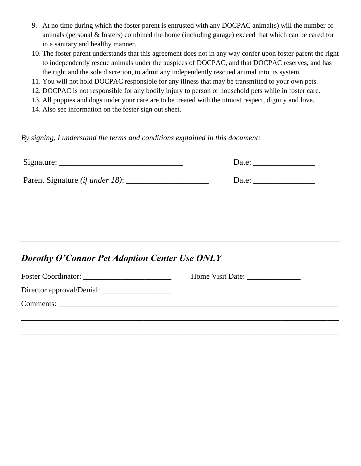- 9. At no time during which the foster parent is entrusted with any DOCPAC animal(s) will the number of animals (personal & fosters) combined the home (including garage) exceed that which can be cared for in a sanitary and healthy manner.
- 10. The foster parent understands that this agreement does not in any way confer upon foster parent the right to independently rescue animals under the auspices of DOCPAC, and that DOCPAC reserves, and has the right and the sole discretion, to admit any independently rescued animal into its system.
- 11. You will not hold DOCPAC responsible for any illness that may be transmitted to your own pets.
- 12. DOCPAC is not responsible for any bodily injury to person or household pets while in foster care.
- 13. All puppies and dogs under your care are to be treated with the utmost respect, dignity and love.
- 14. Also see information on the foster sign out sheet.

*By signing, I understand the terms and conditions explained in this document:*

| Signature:                              | Date: |
|-----------------------------------------|-------|
| Parent Signature <i>(if under 18)</i> : | Date: |

### *Dorothy O'Connor Pet Adoption Center Use ONLY*

| Foster Coordinator: | Home Visit Date: |
|---------------------|------------------|
|                     |                  |
| Comments:           |                  |
|                     |                  |

\_\_\_\_\_\_\_\_\_\_\_\_\_\_\_\_\_\_\_\_\_\_\_\_\_\_\_\_\_\_\_\_\_\_\_\_\_\_\_\_\_\_\_\_\_\_\_\_\_\_\_\_\_\_\_\_\_\_\_\_\_\_\_\_\_\_\_\_\_\_\_\_\_\_\_\_\_\_\_\_\_\_\_